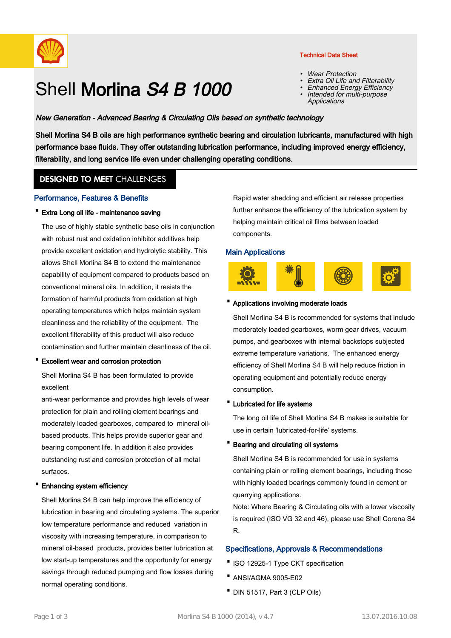

# Shell Morlina S4 B 1000

#### Technical Data Sheet

- •Wear Protection
- •Extra Oil Life and Filterability
- •Enhanced Energy Efficiency
- Intended for multi-purpose **Applications** •

# New Generation - Advanced Bearing & Circulating Oils based on synthetic technology

Shell Morlina S4 B oils are high performance synthetic bearing and circulation lubricants, manufactured with high performance base fluids. They offer outstanding lubrication performance, including improved energy efficiency, filterability, and long service life even under challenging operating conditions.

# **DESIGNED TO MEET CHALLENGES**

#### Performance, Features & Benefits

· Extra Long oil life - maintenance saving

The use of highly stable synthetic base oils in conjunction with robust rust and oxidation inhibitor additives help provide excellent oxidation and hydrolytic stability. This allows Shell Morlina S4 B to extend the maintenance capability of equipment compared to products based on conventional mineral oils. In addition, it resists the formation of harmful products from oxidation at high operating temperatures which helps maintain system cleanliness and the reliability of the equipment. The excellent filterability of this product will also reduce contamination and further maintain cleanliness of the oil.

· Excellent wear and corrosion protection

Shell Morlina S4 B has been formulated to provide excellent

anti-wear performance and provides high levels of wear protection for plain and rolling element bearings and moderately loaded gearboxes, compared to mineral oilbased products. This helps provide superior gear and bearing component life. In addition it also provides outstanding rust and corrosion protection of all metal surfaces.

#### · Enhancing system efficiency

Shell Morlina S4 B can help improve the efficiency of lubrication in bearing and circulating systems. The superior low temperature performance and reduced variation in viscosity with increasing temperature, in comparison to mineral oil-based products, provides better lubrication at low start-up temperatures and the opportunity for energy savings through reduced pumping and flow losses during normal operating conditions.

Rapid water shedding and efficient air release properties further enhance the efficiency of the lubrication system by helping maintain critical oil films between loaded components.

#### Main Applications



#### · Applications involving moderate loads

Shell Morlina S4 B is recommended for systems that include moderately loaded gearboxes, worm gear drives, vacuum pumps, and gearboxes with internal backstops subjected extreme temperature variations. The enhanced energy efficiency of Shell Morlina S4 B will help reduce friction in operating equipment and potentially reduce energy consumption.

#### · Lubricated for life systems

The long oil life of Shell Morlina S4 B makes is suitable for use in certain 'lubricated-for-life' systems.

#### · Bearing and circulating oil systems

Shell Morlina S4 B is recommended for use in systems containing plain or rolling element bearings, including those with highly loaded bearings commonly found in cement or quarrying applications.

Note: Where Bearing & Circulating oils with a lower viscosity is required (ISO VG 32 and 46), please use Shell Corena S4 R.

#### Specifications, Approvals & Recommendations

- ·ISO 12925-1 Type CKT specification
- · ANSI/AGMA 9005-E02
- · DIN 51517, Part 3 (CLP Oils)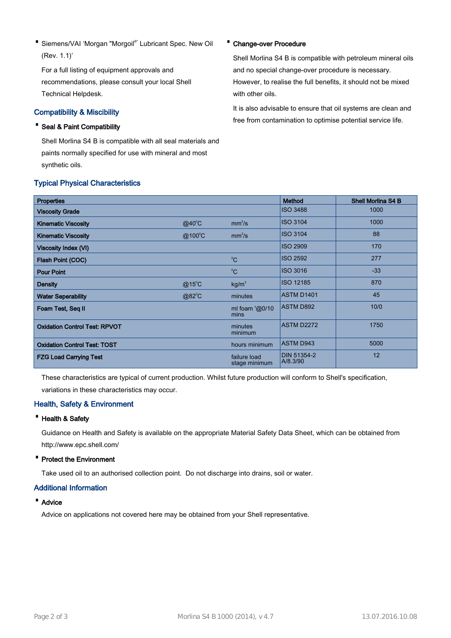• Siemens/VAI 'Morgan "Morgoil<sup>®</sup>' Lubricant Spec. New Oil (Rev. 1.1)'

For a full listing of equipment approvals and recommendations, please consult your local Shell Technical Helpdesk.

## Compatibility & Miscibility

# · Seal & Paint Compatibility

Shell Morlina S4 B is compatible with all seal materials and paints normally specified for use with mineral and most synthetic oils.

### Typical Physical Characteristics

#### · Change-over Procedure

Shell Morlina S4 B is compatible with petroleum mineral oils and no special change-over procedure is necessary. However, to realise the full benefits, it should not be mixed with other oils.

It is also advisable to ensure that oil systems are clean and free from contamination to optimise potential service life.

| <b>Properties</b>                    |                 |                               | <b>Method</b>                  | <b>Shell Morlina S4 B</b> |
|--------------------------------------|-----------------|-------------------------------|--------------------------------|---------------------------|
| <b>Viscosity Grade</b>               |                 |                               | <b>ISO 3488</b>                | 1000                      |
| <b>Kinematic Viscosity</b>           | $@40^{\circ}$ C | mm <sup>2</sup> /s            | <b>ISO 3104</b>                | 1000                      |
| <b>Kinematic Viscosity</b>           | @100°C          | mm <sup>2</sup> /s            | <b>ISO 3104</b>                | 88                        |
| <b>Viscosity Index (VI)</b>          |                 |                               | <b>ISO 2909</b>                | 170                       |
| Flash Point (COC)                    |                 | $^{\circ}C$                   | <b>ISO 2592</b>                | 277                       |
| <b>Pour Point</b>                    |                 | $^0C$                         | <b>ISO 3016</b>                | $-33$                     |
| <b>Density</b>                       | $@15^{\circ}$ C | kg/m <sup>3</sup>             | <b>ISO 12185</b>               | 870                       |
| <b>Water Seperability</b>            | @82°C           | minutes                       | ASTM D1401                     | 45                        |
| Foam Test, Seq II                    |                 | ml foam ' $@0/10$<br>mins     | <b>ASTM D892</b>               | 10/0                      |
| <b>Oxidation Control Test: RPVOT</b> |                 | minutes<br>minimum            | ASTM D2272                     | 1750                      |
| <b>Oxidation Control Test: TOST</b>  |                 | hours minimum                 | <b>ASTM D943</b>               | 5000                      |
| <b>FZG Load Carrying Test</b>        |                 | failure load<br>stage minimum | <b>DIN 51354-2</b><br>A/8.3/90 | 12                        |

These characteristics are typical of current production. Whilst future production will conform to Shell's specification, variations in these characteristics may occur.

# Health, Safety & Environment

#### · Health & Safety

Guidance on Health and Safety is available on the appropriate Material Safety Data Sheet, which can be obtained from http://www.epc.shell.com/

#### · Protect the Environment

Take used oil to an authorised collection point. Do not discharge into drains, soil or water.

#### Additional Information

#### · Advice

Advice on applications not covered here may be obtained from your Shell representative.